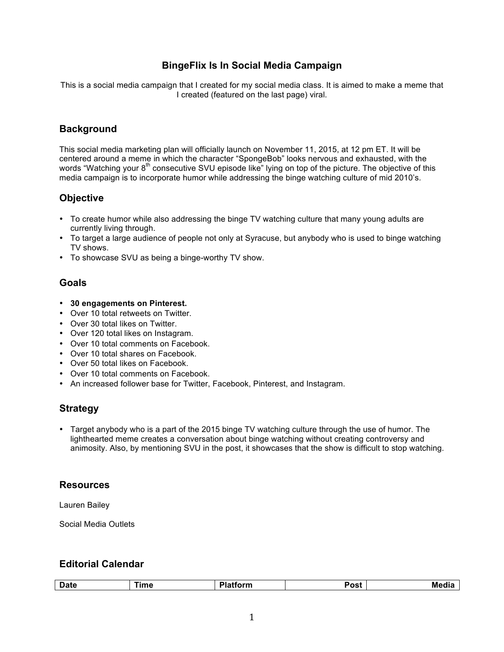# **BingeFlix Is In Social Media Campaign**

This is a social media campaign that I created for my social media class. It is aimed to make a meme that I created (featured on the last page) viral.

# **Background**

This social media marketing plan will officially launch on November 11, 2015, at 12 pm ET. It will be centered around a meme in which the character "SpongeBob" looks nervous and exhausted, with the words "Watching your 8<sup>th</sup> consecutive SVU episode like" lying on top of the picture. The objective of this media campaign is to incorporate humor while addressing the binge watching culture of mid 2010's.

# **Objective**

- To create humor while also addressing the binge TV watching culture that many young adults are currently living through.
- To target a large audience of people not only at Syracuse, but anybody who is used to binge watching TV shows.
- To showcase SVU as being a binge-worthy TV show.

# **Goals**

- **30 engagements on Pinterest.**
- Over 10 total retweets on Twitter.
- Over 30 total likes on Twitter.
- Over 120 total likes on Instagram.
- Over 10 total comments on Facebook.
- Over 10 total shares on Facebook.
- Over 50 total likes on Facebook.
- Over 10 total comments on Facebook.
- An increased follower base for Twitter, Facebook, Pinterest, and Instagram.

# **Strategy**

• Target anybody who is a part of the 2015 binge TV watching culture through the use of humor. The lighthearted meme creates a conversation about binge watching without creating controversy and animosity. Also, by mentioning SVU in the post, it showcases that the show is difficult to stop watching.

#### **Resources**

Lauren Bailey

Social Media Outlets

# **Editorial Calendar**

| <b>Date</b><br>лс | ----<br>" | ---<br>้งรเ | $\sim$ $\sim$<br>IVI 1 |
|-------------------|-----------|-------------|------------------------|
|                   |           |             |                        |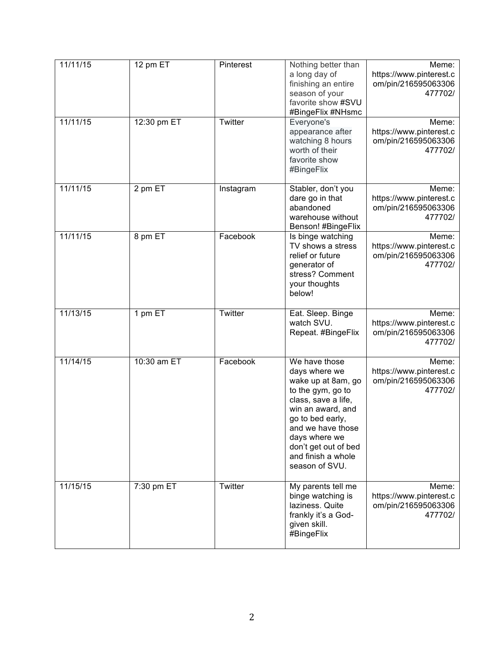| 11/11/15 | 12 pm ET    | Pinterest | Nothing better than<br>a long day of<br>finishing an entire<br>season of your<br>favorite show #SVU<br>#BingeFlix #NHsmc                                                                                                                        | Meme:<br>https://www.pinterest.c<br>om/pin/216595063306<br>477702/ |
|----------|-------------|-----------|-------------------------------------------------------------------------------------------------------------------------------------------------------------------------------------------------------------------------------------------------|--------------------------------------------------------------------|
| 11/11/15 | 12:30 pm ET | Twitter   | Everyone's<br>appearance after<br>watching 8 hours<br>worth of their<br>favorite show<br>#BingeFlix                                                                                                                                             | Meme:<br>https://www.pinterest.c<br>om/pin/216595063306<br>477702/ |
| 11/11/15 | 2 pm ET     | Instagram | Stabler, don't you<br>dare go in that<br>abandoned<br>warehouse without<br>Benson! #BingeFlix                                                                                                                                                   | Meme:<br>https://www.pinterest.c<br>om/pin/216595063306<br>477702/ |
| 11/11/15 | 8 pm ET     | Facebook  | Is binge watching<br>TV shows a stress<br>relief or future<br>generator of<br>stress? Comment<br>your thoughts<br>below!                                                                                                                        | Meme:<br>https://www.pinterest.c<br>om/pin/216595063306<br>477702/ |
| 11/13/15 | 1 pm ET     | Twitter   | Eat. Sleep. Binge<br>watch SVU.<br>Repeat. #BingeFlix                                                                                                                                                                                           | Meme:<br>https://www.pinterest.c<br>om/pin/216595063306<br>477702/ |
| 11/14/15 | 10:30 am ET | Facebook  | We have those<br>days where we<br>wake up at 8am, go<br>to the gym, go to<br>class, save a life,<br>win an award, and<br>go to bed early,<br>and we have those<br>days where we<br>don't get out of bed<br>and finish a whole<br>season of SVU. | Meme:<br>https://www.pinterest.c<br>om/pin/216595063306<br>477702/ |
| 11/15/15 | 7:30 pm ET  | Twitter   | My parents tell me<br>binge watching is<br>laziness. Quite<br>frankly it's a God-<br>given skill.<br>#BingeFlix                                                                                                                                 | Meme:<br>https://www.pinterest.c<br>om/pin/216595063306<br>477702/ |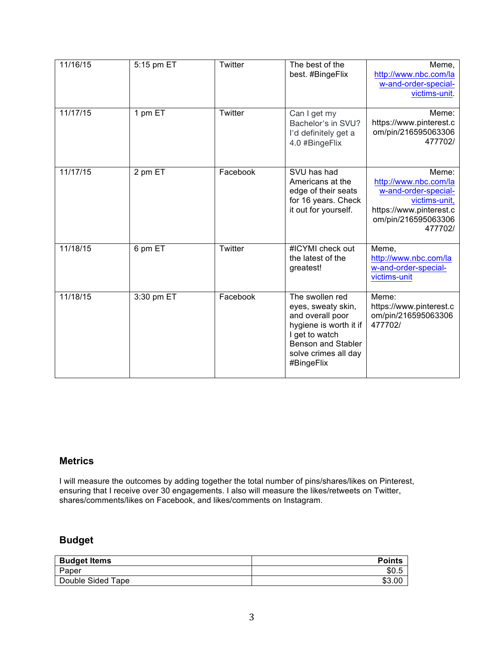| 11/16/15 | 5:15 pm ET | Twitter  | The best of the<br>best. #BingeFlix                                                                                                                                      | Meme,<br>http://www.nbc.com/la<br>w-and-order-special-<br>victims-unit.                                                              |
|----------|------------|----------|--------------------------------------------------------------------------------------------------------------------------------------------------------------------------|--------------------------------------------------------------------------------------------------------------------------------------|
| 11/17/15 | 1 pm ET    | Twitter  | Can I get my<br>Bachelor's in SVU?<br>I'd definitely get a<br>4.0 #BingeFlix                                                                                             | Meme:<br>https://www.pinterest.c<br>om/pin/216595063306<br>477702/                                                                   |
| 11/17/15 | 2 pm ET    | Facebook | SVU has had<br>Americans at the<br>edge of their seats<br>for 16 years. Check<br>it out for yourself.                                                                    | Meme:<br>http://www.nbc.com/la<br>w-and-order-special-<br>victims-unit,<br>https://www.pinterest.c<br>om/pin/216595063306<br>477702/ |
| 11/18/15 | 6 pm ET    | Twitter  | #ICYMI check out<br>the latest of the<br>greatest!                                                                                                                       | Meme,<br>http://www.nbc.com/la<br>w-and-order-special-<br>victims-unit                                                               |
| 11/18/15 | 3:30 pm ET | Facebook | The swollen red<br>eyes, sweaty skin,<br>and overall poor<br>hygiene is worth it if<br>I get to watch<br><b>Benson and Stabler</b><br>solve crimes all day<br>#BingeFlix | Meme:<br>https://www.pinterest.c<br>om/pin/216595063306<br>477702/                                                                   |

# **Metrics**

I will measure the outcomes by adding together the total number of pins/shares/likes on Pinterest, ensuring that I receive over 30 engagements. I also will measure the likes/retweets on Twitter, shares/comments/likes on Facebook, and likes/comments on Instagram.

# **Budget**

| <b>Budget Items</b> | <b>Points</b> |
|---------------------|---------------|
| Paper               | \$0.5         |
| Double Sided Tape   | \$3.00        |